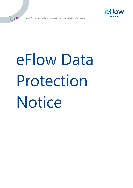

eFlow You First is a registered business name of Transport Infrastructure Ireland

**OD** 

# eFlow Data Protection Notice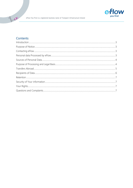

# Contents

E DE

| $\int_0^{\infty} \frac{1}{2} \int_0^{\infty} \frac{1}{2} \int_0^{\infty} \frac{1}{2} \int_0^{\infty} \frac{1}{2} \int_0^{\infty} \frac{1}{2} \int_0^{\infty} \frac{1}{2} \int_0^{\infty} \frac{1}{2} \int_0^{\infty} \frac{1}{2} \int_0^{\infty} \frac{1}{2} \int_0^{\infty} \frac{1}{2} \int_0^{\infty} \frac{1}{2} \int_0^{\infty} \frac{1}{2} \int_0^{\infty} \frac{1}{2} \int_0^{\infty} \frac{$ |
|------------------------------------------------------------------------------------------------------------------------------------------------------------------------------------------------------------------------------------------------------------------------------------------------------------------------------------------------------------------------------------------------------|
|                                                                                                                                                                                                                                                                                                                                                                                                      |
|                                                                                                                                                                                                                                                                                                                                                                                                      |
|                                                                                                                                                                                                                                                                                                                                                                                                      |
|                                                                                                                                                                                                                                                                                                                                                                                                      |
|                                                                                                                                                                                                                                                                                                                                                                                                      |
|                                                                                                                                                                                                                                                                                                                                                                                                      |
|                                                                                                                                                                                                                                                                                                                                                                                                      |
|                                                                                                                                                                                                                                                                                                                                                                                                      |
|                                                                                                                                                                                                                                                                                                                                                                                                      |
|                                                                                                                                                                                                                                                                                                                                                                                                      |
|                                                                                                                                                                                                                                                                                                                                                                                                      |
|                                                                                                                                                                                                                                                                                                                                                                                                      |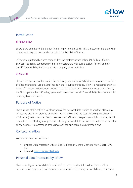

### <span id="page-2-0"></span>Introduction

**OD** 

### a) About eFlow

eFlow is the operator of the barrier-free tolling system on Dublin's M50 motorway and a provider of electronic tags for use on all toll roads in the Republic of Ireland.

eFlow is a registered business name of Transport Infrastructure Ireland ("TII"). Turas Mobility Services is currently contracted by the TII to operate the M50 tolling system (eFlow) on their behalf. Turas Mobility Services is an Irish company based in Dublin.

### b) About TII

<span id="page-2-1"></span>eFlow is the operator of the barrier-free tolling system on Dublin's M50 motorway and a provider of electronic tags for use on all toll roads in the Republic of Ireland. eFlow is a registered business name of Transport Infrastructure Ireland ("TII"). Turas Mobility Services is currently contracted by the TII to operate the M50 tolling system (eFlow) on their behalf. Turas Mobility Services is an Irish company based in Dublin.

### Purpose of Notice

<span id="page-2-2"></span>The purpose of this notice is to inform you of the personal data relating to you that eFlow may collect and process in order to provide toll road services and the uses (including disclosures to third parties) we may make of such personal data. eFlow fully respects your right to privacy and is committed to protecting your personal data. Any personal data that is processed in relation to the eFlow business is processed in accordance with the applicable data protection laws.

# Contacting eFlow

We can be contacted as follows:

- by post: Data Protection Officer, Block 8, Harcourt Centre, Charlotte Way, Dublin, D02 K580
- by email: [dataprotection@eflow.ie](mailto:dataprotection@eflow.ie)

### <span id="page-2-3"></span>Personal data Processed by eFlow

The processing of personal data is required in order to provide toll road services to eFlow customers. We may collect and process some or all of the following personal data in relation to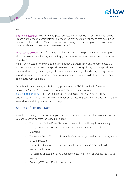

you:

**OD** 

Registered accounts – your full name, postal address, email address, contact telephone number, licence plate number, journey reference number, tag provider, tag number and credit card, debit card or direct debit details. We also process eFlow passage information, payment history, your correspondence and telephone conversation recordings.

<span id="page-3-0"></span>Unregistered account – your full name, postal address and licence plate number. We also process eFlow passage information, payment history, your correspondence and telephone conversation recordings.

When you contact eFlow by phone, email or through the website services, we record details of those communications (e.g. correspondence records, web message, letter/fax correspondence, phone call recordings including logs of phone calls, etc.) and any other details you may choose to provide us with. For the purpose of processing payments, eFlow may collect credit card or debit card details from road users.

From time to time, we may contact you by phone, email or SMS in relation to Customer Satisfaction Surveys. You can opt-out from such contact by emailing us at [dataprotection@eflow.ie](mailto:dataprotection@eflow.ie) or by writing to us at the address set out in 'Contacting eFlow' above. You will also be afforded the right to opt-out of receiving Customer Satisfaction Surveys in any calls or emails to you about such surveys.

### Sources of Personal Data

<span id="page-3-1"></span>As well as collecting information from you directly, eFlow may receive or collect information about you and your vehicle from the following sources:

- The National Vehicle Driver File, in accordance with specific legislative authority;
- Foreign Vehicle Licensing Authorities, in the countries in which the vehicle is registered;
- The Vehicle Rental Company, to enable eFlow contact you and request the payments for your passage;
- Compatible Operators in connection with the provision of interoperable toll transactions in Ireland;
- Toll passage photographic and video recordings for all vehicles that use the M50 toll road; and
- Cameras/CCTV at M50 toll infrastructure.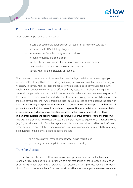



# Purpose of Processing and Legal Basis

<span id="page-4-0"></span>eFlow processes personal data in order to:

**OF CALL** 

- ensure that payment is obtained from all road users using eFlow services in accordance with TII's statutory obligations;
- receive services from third party service providers;
- respond to queries and complaints;
- facilitate the mobilisation and transition of services from one provider of interoperable toll transaction services to another; and
- comply with TII's other statutory obligations.

TII as data controller is required to ensure that there is a legal basis for the processing of your personal data. TII's legal basis for collecting and using this information is that such processing is necessary to comply with TII's legal and regulatory obligations and to carry out its tasks in the public interest and/or in the exercise of official authority vested in TII, including the right to demand, charge, collect and recover toll payments and all other amounts due as consequence of the use of the toll road. In certain limited circumstances, processing your personal data may be on the basis of your consent – where this is the case you will be asked to give a positive indication of that consent. TII may also process your personal data (for example, toll passage data and method of payment information), for research or statistical purposes. TII's legal basis for this processing is that it is necessary for such research or statistical purposes (only in circumstances where TII has implemented suitable and specific measures to safeguard your fundamental rights and freedoms). The legal basis on which we collect, process and transfer special categories of data relating to you (e.g. if you claim exemption from the payment of tolls on the grounds of modified vehicle/driver disability status, proof that the vehicle is modified and information about your disability status may be requested) in the manner described above are that:

- this is necessary for reasons of substantial public interest, and
- you have given your explicit consent to such processing.

### Transfers Abroad

In connection with the above, eFlow may transfer your personal data outside the European Economic Area, including to a jurisdiction which is not recognised by the European Commission as providing an equivalent level of protection for personal data as is provided for in the European Union. If and to the extent that eFlow does so, eFlow will ensure that appropriate measures are in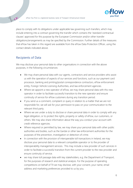

place to comply with its obligations under applicable law governing such transfers, which may include entering into a contract governing the transfer which contains the 'standard contractual clauses' approved for this purpose by the European Commission and/or other transfer obligations/arrangements as may be specified by the Commission. Further details of the measures that eFlow has taken in this regard are available from the eFlow Data Protection Officer, using the contact details indicated above.

## <span id="page-5-0"></span>Recipients of Data

**OD** 

We may disclose your personal data to other organisations in connection with the above purposes, in the following circumstances:

- We may share personal data with our agents, contractors and service providers who assist us with the operation of aspects of our services and functions, such as our payment card processor, banking and printing/postal correspondence contractors, eFlow enforcement entity, Foreign Vehicle Licensing Authorities, and law enforcement agencies.
- Where we appoint a new operator of eFlow, we may share personal data with this new operator in order to facilitate successful transition to the new operator and ensure continuity of service for eFlow customers during any transition period.
- If you send us a comment, complaint or query in relation to a matter that we are not responsible for, we will ask for your permission to pass on your communication to the relevant third party.
- Where we are under a duty to disclose or share personal data in order to comply with any legal obligation, or to protect the rights, property or safety of eFlow, our customers, or others. We may also share information about the way you conduct your account with credit reference agencies.
- Where required or permitted by law, we may share your personal data with other public authorities and bodies, such as the Gardaí or other law enforcement authorities for the purposes of the prevention, investigation or detection of crime.
- In connection with the provision of interoperable toll transactions in Ireland, we may disclose your personal data to a relevant compatible operator or to the provider of interoperability management services. This may include a new provider of such services in order to facilitate a successful transition from the current provider to the new provider and ensure continuity of service.
- we may share toll passage data with key stakeholders, e.g. the Department of Transport, for the purposes of research and statistical analysis. For the purpose of operating competitions on behalf of TII we may disclose, with your consent, your name, email address and marketing preferences provided to us by you.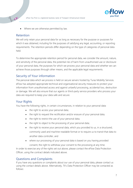<span id="page-6-0"></span>

• Where we are otherwise permitted by law.

### Retention

**DECE** 

<span id="page-6-1"></span>We will only retain your personal data for as long as necessary for the purpose or purposes for which it was obtained, including for the purposes of satisfying any legal, accounting, or reporting requirements. The retention periods differ depending on the type of categories of personal data held.

To determine the appropriate retention period for personal data, we consider the amount, nature, and sensitivity of the personal data, the potential risk of harm from unauthorised use or disclosure of your personal data, the purposes for which we process your personal data and whether we can achieve those purposes through other means, and the applicable legal requirements.

## Security of Your information

<span id="page-6-2"></span>The personal data which we process is held on secure servers hosted by Turas Mobility Services. eFlow has adopted appropriate technical and organisational security measures to protect your information from unauthorised access and against unlawful processing, accidental loss, destruction or damage. We will also ensure that our agents or third-party service providers who process your data are required to keep your data safe and secure.

### Your Rights

<span id="page-6-3"></span>You have the following rights, in certain circumstances, in relation to your personal data:

- the right to access your personal data;
- the right to request the rectification and/or erasure of your personal data;
- the right to restrict the use of your personal data;
- the right to object to the processing of your personal data;
- the right to receive your personal data, which you provided to us, in a structured, commonly used and machine-readable format or to require us to transit that data to another data controller, and
- where our processing of your personal data is based on you having provided consent, the right to withdraw your consent to the processing at any time.

In order to exercise any of the rights set out above, please contact the eFlow Data Protection Officer, using the contract details indicated above.

### Questions and Complaints

If you have any questions or complaints about our use of your personal data, please contact us using the contact details above. Alternatively, TII's Data Protection Officer may be contacted as follows: